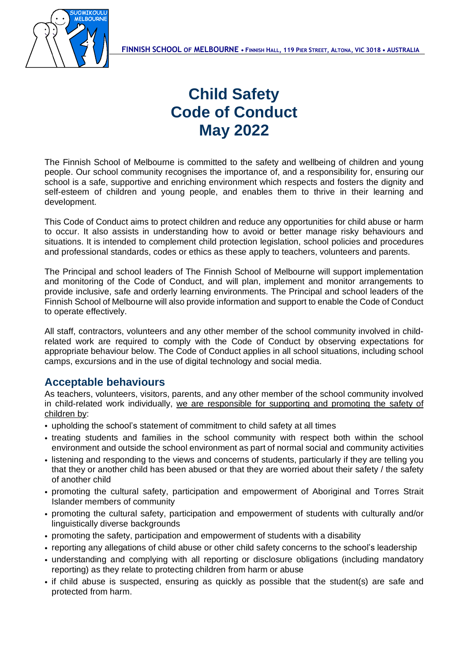

## **Child Safety Code of Conduct May 2022**

The Finnish School of Melbourne is committed to the safety and wellbeing of children and young people. Our school community recognises the importance of, and a responsibility for, ensuring our school is a safe, supportive and enriching environment which respects and fosters the dignity and self-esteem of children and young people, and enables them to thrive in their learning and development.

This Code of Conduct aims to protect children and reduce any opportunities for child abuse or harm to occur. It also assists in understanding how to avoid or better manage risky behaviours and situations. It is intended to complement child protection legislation, school policies and procedures and professional standards, codes or ethics as these apply to teachers, volunteers and parents.

The Principal and school leaders of The Finnish School of Melbourne will support implementation and monitoring of the Code of Conduct, and will plan, implement and monitor arrangements to provide inclusive, safe and orderly learning environments. The Principal and school leaders of the Finnish School of Melbourne will also provide information and support to enable the Code of Conduct to operate effectively.

All staff, contractors, volunteers and any other member of the school community involved in childrelated work are required to comply with the Code of Conduct by observing expectations for appropriate behaviour below. The Code of Conduct applies in all school situations, including school camps, excursions and in the use of digital technology and social media.

## **Acceptable behaviours**

As teachers, volunteers, visitors, parents, and any other member of the school community involved in child-related work individually, we are responsible for supporting and promoting the safety of children by:

- upholding the school's statement of commitment to child safety at all times
- treating students and families in the school community with respect both within the school environment and outside the school environment as part of normal social and community activities
- listening and responding to the views and concerns of students, particularly if they are telling you that they or another child has been abused or that they are worried about their safety / the safety of another child
- promoting the cultural safety, participation and empowerment of Aboriginal and Torres Strait Islander members of community
- promoting the cultural safety, participation and empowerment of students with culturally and/or linguistically diverse backgrounds
- promoting the safety, participation and empowerment of students with a disability
- reporting any allegations of child abuse or other child safety concerns to the school's leadership
- understanding and complying with all reporting or disclosure obligations (including mandatory reporting) as they relate to protecting children from harm or abuse
- if child abuse is suspected, ensuring as quickly as possible that the student(s) are safe and protected from harm.